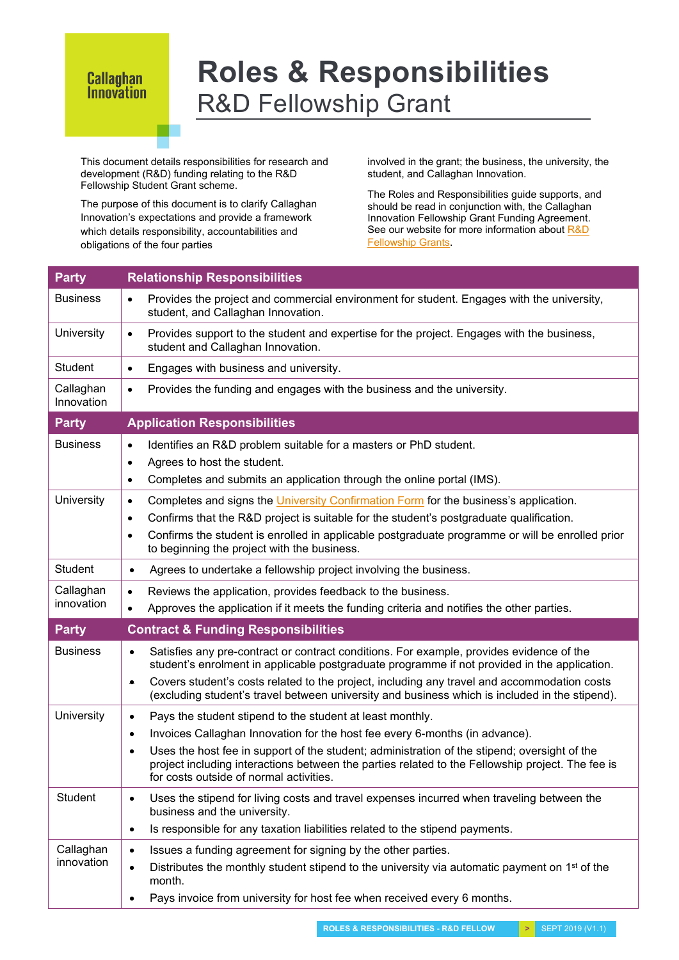## **Callaghan**<br>Innovation

## **Roles & Responsibilities** R&D Fellowship Grant

This document details responsibilities for research and development (R&D) funding relating to the R&D Fellowship Student Grant scheme.

The purpose of this document is to clarify Callaghan Innovation's expectations and provide a framework which details responsibility, accountabilities and obligations of the four parties

involved in the grant; the business, the university, the student, and Callaghan Innovation.

The Roles and Responsibilities guide supports, and should be read in conjunction with, the Callaghan Innovation Fellowship Grant Funding Agreement. See our website for more information about R&D **[Fellowship Grants.](http://www.callaghaninnovation.govt.nz/student-grants/rd-fellowship-grants)** 

| <b>Party</b>            | <b>Relationship Responsibilities</b>                                                                                                                                                                                                                                                                                                                                     |
|-------------------------|--------------------------------------------------------------------------------------------------------------------------------------------------------------------------------------------------------------------------------------------------------------------------------------------------------------------------------------------------------------------------|
| <b>Business</b>         | Provides the project and commercial environment for student. Engages with the university,<br>$\bullet$<br>student, and Callaghan Innovation.                                                                                                                                                                                                                             |
| <b>University</b>       | Provides support to the student and expertise for the project. Engages with the business,<br>$\bullet$<br>student and Callaghan Innovation.                                                                                                                                                                                                                              |
| <b>Student</b>          | Engages with business and university.<br>$\bullet$                                                                                                                                                                                                                                                                                                                       |
| Callaghan<br>Innovation | Provides the funding and engages with the business and the university.<br>$\bullet$                                                                                                                                                                                                                                                                                      |
| <b>Party</b>            | <b>Application Responsibilities</b>                                                                                                                                                                                                                                                                                                                                      |
| <b>Business</b>         | Identifies an R&D problem suitable for a masters or PhD student.<br>$\bullet$<br>Agrees to host the student.<br>$\bullet$<br>Completes and submits an application through the online portal (IMS).<br>$\bullet$                                                                                                                                                          |
| <b>University</b>       | Completes and signs the University Confirmation Form for the business's application.<br>$\bullet$<br>Confirms that the R&D project is suitable for the student's postgraduate qualification.<br>$\bullet$<br>Confirms the student is enrolled in applicable postgraduate programme or will be enrolled prior<br>$\bullet$<br>to beginning the project with the business. |
| <b>Student</b>          | Agrees to undertake a fellowship project involving the business.<br>$\bullet$                                                                                                                                                                                                                                                                                            |
| Callaghan               | Reviews the application, provides feedback to the business.<br>$\bullet$                                                                                                                                                                                                                                                                                                 |
|                         |                                                                                                                                                                                                                                                                                                                                                                          |
| innovation              | Approves the application if it meets the funding criteria and notifies the other parties.<br>$\bullet$                                                                                                                                                                                                                                                                   |
| <b>Party</b>            | <b>Contract &amp; Funding Responsibilities</b>                                                                                                                                                                                                                                                                                                                           |
| <b>Business</b>         | Satisfies any pre-contract or contract conditions. For example, provides evidence of the<br>$\bullet$<br>student's enrolment in applicable postgraduate programme if not provided in the application.                                                                                                                                                                    |
|                         | Covers student's costs related to the project, including any travel and accommodation costs<br>۰<br>(excluding student's travel between university and business which is included in the stipend).                                                                                                                                                                       |
| <b>University</b>       | Pays the student stipend to the student at least monthly.<br>$\bullet$                                                                                                                                                                                                                                                                                                   |
|                         | Invoices Callaghan Innovation for the host fee every 6-months (in advance).<br>$\bullet$                                                                                                                                                                                                                                                                                 |
|                         | Uses the host fee in support of the student; administration of the stipend; oversight of the<br>$\bullet$<br>project including interactions between the parties related to the Fellowship project. The fee is<br>for costs outside of normal activities.                                                                                                                 |
| <b>Student</b>          | Uses the stipend for living costs and travel expenses incurred when traveling between the<br>$\bullet$<br>business and the university.                                                                                                                                                                                                                                   |
|                         | Is responsible for any taxation liabilities related to the stipend payments.<br>$\bullet$                                                                                                                                                                                                                                                                                |
| Callaghan               | Issues a funding agreement for signing by the other parties.<br>$\bullet$                                                                                                                                                                                                                                                                                                |
| innovation              | Distributes the monthly student stipend to the university via automatic payment on 1 <sup>st</sup> of the<br>$\bullet$<br>month.                                                                                                                                                                                                                                         |